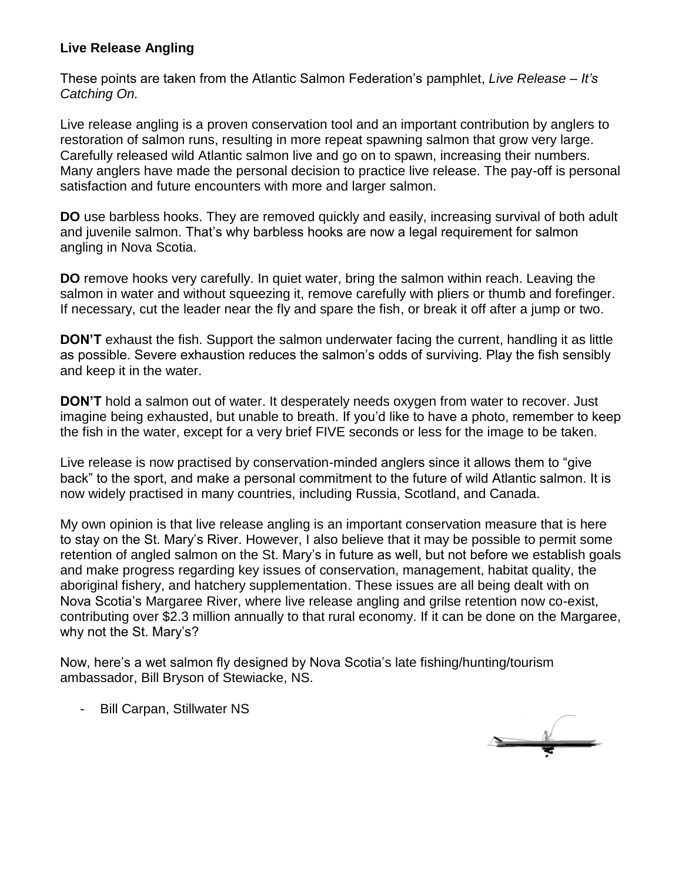## **Live Release Angling**

These points are taken from the Atlantic Salmon Federation's pamphlet, *Live Release – It's Catching On.*

Live release angling is a proven conservation tool and an important contribution by anglers to restoration of salmon runs, resulting in more repeat spawning salmon that grow very large. Carefully released wild Atlantic salmon live and go on to spawn, increasing their numbers. Many anglers have made the personal decision to practice live release. The pay-off is personal satisfaction and future encounters with more and larger salmon.

**DO** use barbless hooks. They are removed quickly and easily, increasing survival of both adult and juvenile salmon. That's why barbless hooks are now a legal requirement for salmon angling in Nova Scotia.

**DO** remove hooks very carefully. In quiet water, bring the salmon within reach. Leaving the salmon in water and without squeezing it, remove carefully with pliers or thumb and forefinger. If necessary, cut the leader near the fly and spare the fish, or break it off after a jump or two.

**DON'T** exhaust the fish. Support the salmon underwater facing the current, handling it as little as possible. Severe exhaustion reduces the salmon's odds of surviving. Play the fish sensibly and keep it in the water.

**DON'T** hold a salmon out of water. It desperately needs oxygen from water to recover. Just imagine being exhausted, but unable to breath. If you'd like to have a photo, remember to keep the fish in the water, except for a very brief FIVE seconds or less for the image to be taken.

Live release is now practised by conservation-minded anglers since it allows them to "give back" to the sport, and make a personal commitment to the future of wild Atlantic salmon. It is now widely practised in many countries, including Russia, Scotland, and Canada.

My own opinion is that live release angling is an important conservation measure that is here to stay on the St. Mary's River. However, I also believe that it may be possible to permit some retention of angled salmon on the St. Mary's in future as well, but not before we establish goals and make progress regarding key issues of conservation, management, habitat quality, the aboriginal fishery, and hatchery supplementation. These issues are all being dealt with on Nova Scotia's Margaree River, where live release angling and grilse retention now co-exist, contributing over \$2.3 million annually to that rural economy. If it can be done on the Margaree, why not the St. Mary's?

Now, here's a wet salmon fly designed by Nova Scotia's late fishing/hunting/tourism ambassador, Bill Bryson of Stewiacke, NS.

- Bill Carpan, Stillwater NS

 $\overline{\phantom{a}}$